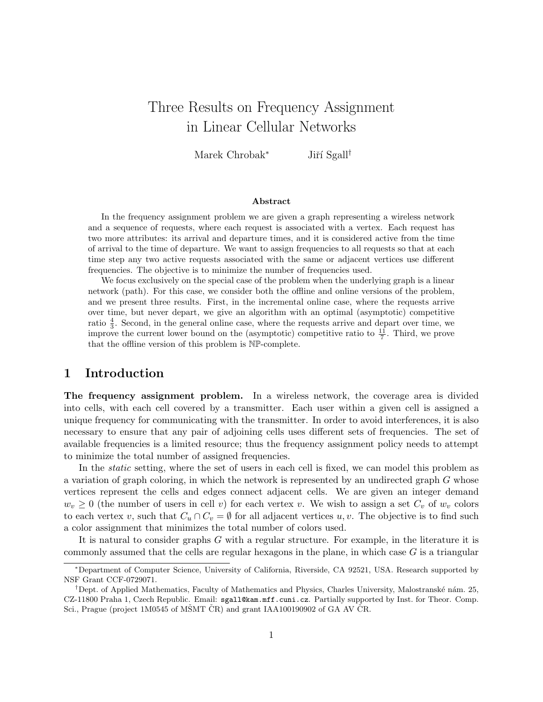# Three Results on Frequency Assignment in Linear Cellular Networks

Marek Chrobak<sup>∗</sup> Jiří Sgall<sup>†</sup>

#### Abstract

In the frequency assignment problem we are given a graph representing a wireless network and a sequence of requests, where each request is associated with a vertex. Each request has two more attributes: its arrival and departure times, and it is considered active from the time of arrival to the time of departure. We want to assign frequencies to all requests so that at each time step any two active requests associated with the same or adjacent vertices use different frequencies. The objective is to minimize the number of frequencies used.

We focus exclusively on the special case of the problem when the underlying graph is a linear network (path). For this case, we consider both the offline and online versions of the problem, and we present three results. First, in the incremental online case, where the requests arrive over time, but never depart, we give an algorithm with an optimal (asymptotic) competitive ratio  $\frac{4}{3}$ . Second, in the general online case, where the requests arrive and depart over time, we improve the current lower bound on the (asymptotic) competitive ratio to  $\frac{11}{7}$ . Third, we prove that the offline version of this problem is NP-complete.

#### 1 Introduction

The frequency assignment problem. In a wireless network, the coverage area is divided into cells, with each cell covered by a transmitter. Each user within a given cell is assigned a unique frequency for communicating with the transmitter. In order to avoid interferences, it is also necessary to ensure that any pair of adjoining cells uses different sets of frequencies. The set of available frequencies is a limited resource; thus the frequency assignment policy needs to attempt to minimize the total number of assigned frequencies.

In the *static* setting, where the set of users in each cell is fixed, we can model this problem as a variation of graph coloring, in which the network is represented by an undirected graph G whose vertices represent the cells and edges connect adjacent cells. We are given an integer demand  $w_v \geq 0$  (the number of users in cell v) for each vertex v. We wish to assign a set  $C_v$  of  $w_v$  colors to each vertex v, such that  $C_u \cap C_v = \emptyset$  for all adjacent vertices  $u, v$ . The objective is to find such a color assignment that minimizes the total number of colors used.

It is natural to consider graphs G with a regular structure. For example, in the literature it is commonly assumed that the cells are regular hexagons in the plane, in which case  $G$  is a triangular

<sup>∗</sup>Department of Computer Science, University of California, Riverside, CA 92521, USA. Research supported by NSF Grant CCF-0729071.

<sup>&</sup>lt;sup>†</sup>Dept. of Applied Mathematics, Faculty of Mathematics and Physics, Charles University, Malostranské nám. 25, CZ-11800 Praha 1, Czech Republic. Email: sgall@kam.mff.cuni.cz. Partially supported by Inst. for Theor. Comp. Sci., Prague (project 1M0545 of MŠMT ČR) and grant IAA100190902 of GA AV ČR.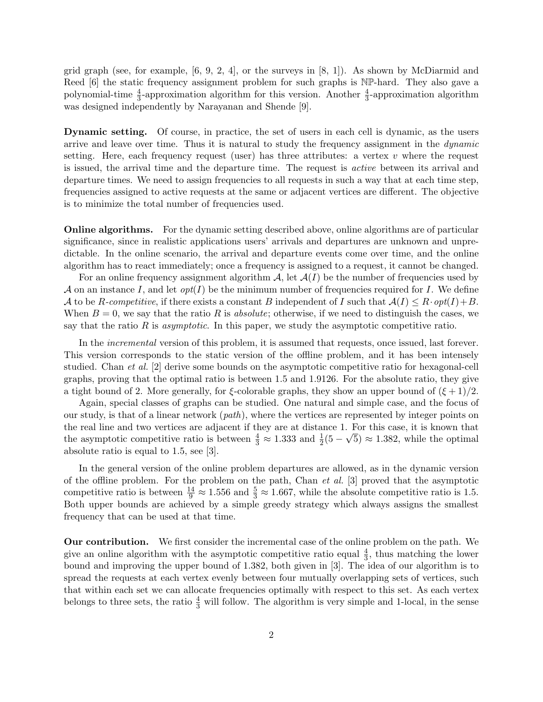grid graph (see, for example,  $[6, 9, 2, 4]$ , or the surveys in  $[8, 1]$ ). As shown by McDiarmid and Reed [6] the static frequency assignment problem for such graphs is  $N\mathbb{P}$ -hard. They also gave a polynomial-time  $\frac{4}{3}$ -approximation algorithm for this version. Another  $\frac{4}{3}$ -approximation algorithm was designed independently by Narayanan and Shende [9].

Dynamic setting. Of course, in practice, the set of users in each cell is dynamic, as the users arrive and leave over time. Thus it is natural to study the frequency assignment in the dynamic setting. Here, each frequency request (user) has three attributes: a vertex  $v$  where the request is issued, the arrival time and the departure time. The request is active between its arrival and departure times. We need to assign frequencies to all requests in such a way that at each time step, frequencies assigned to active requests at the same or adjacent vertices are different. The objective is to minimize the total number of frequencies used.

Online algorithms. For the dynamic setting described above, online algorithms are of particular significance, since in realistic applications users' arrivals and departures are unknown and unpredictable. In the online scenario, the arrival and departure events come over time, and the online algorithm has to react immediately; once a frequency is assigned to a request, it cannot be changed.

For an online frequency assignment algorithm  $\mathcal{A}$ , let  $\mathcal{A}(I)$  be the number of frequencies used by A on an instance I, and let  $opt(I)$  be the minimum number of frequencies required for I. We define A to be R-competitive, if there exists a constant B independent of I such that  $A(I) \leq R \cdot opt(I) + B$ . When  $B = 0$ , we say that the ratio R is *absolute*; otherwise, if we need to distinguish the cases, we say that the ratio  $R$  is *asymptotic*. In this paper, we study the asymptotic competitive ratio.

In the *incremental* version of this problem, it is assumed that requests, once issued, last forever. This version corresponds to the static version of the offline problem, and it has been intensely studied. Chan et al. [2] derive some bounds on the asymptotic competitive ratio for hexagonal-cell graphs, proving that the optimal ratio is between 1.5 and 1.9126. For the absolute ratio, they give a tight bound of 2. More generally, for  $\xi$ -colorable graphs, they show an upper bound of  $(\xi + 1)/2$ .

Again, special classes of graphs can be studied. One natural and simple case, and the focus of our study, is that of a linear network  $(path)$ , where the vertices are represented by integer points on the real line and two vertices are adjacent if they are at distance 1. For this case, it is known that the asymptotic competitive ratio is between  $\frac{4}{3} \approx 1.333$  and  $\frac{1}{2}(5 - \sqrt{5}) \approx 1.382$ , while the optimal absolute ratio is equal to 1.5, see [3].

In the general version of the online problem departures are allowed, as in the dynamic version of the offline problem. For the problem on the path, Chan *et al.* [3] proved that the asymptotic competitive ratio is between  $\frac{14}{9} \approx 1.556$  and  $\frac{5}{3} \approx 1.667$ , while the absolute competitive ratio is 1.5. Both upper bounds are achieved by a simple greedy strategy which always assigns the smallest frequency that can be used at that time.

Our contribution. We first consider the incremental case of the online problem on the path. We give an online algorithm with the asymptotic competitive ratio equal  $\frac{4}{3}$ , thus matching the lower bound and improving the upper bound of 1.382, both given in [3]. The idea of our algorithm is to spread the requests at each vertex evenly between four mutually overlapping sets of vertices, such that within each set we can allocate frequencies optimally with respect to this set. As each vertex belongs to three sets, the ratio  $\frac{4}{3}$  will follow. The algorithm is very simple and 1-local, in the sense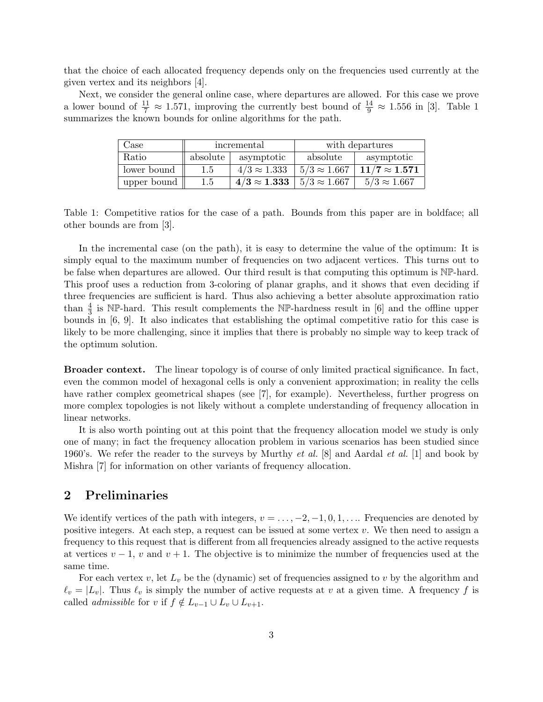that the choice of each allocated frequency depends only on the frequencies used currently at the given vertex and its neighbors [4].

Next, we consider the general online case, where departures are allowed. For this case we prove a lower bound of  $\frac{11}{7} \approx 1.571$ , improving the currently best bound of  $\frac{14}{9} \approx 1.556$  in [3]. Table 1 summarizes the known bounds for online algorithms for the path.

| Case        | incremental |                     | with departures     |                      |
|-------------|-------------|---------------------|---------------------|----------------------|
| Ratio       | absolute    | asymptotic          | absolute            | asymptotic           |
| lower bound | 1.5         | $4/3 \approx 1.333$ | $5/3 \approx 1.667$ | $11/7 \approx 1.571$ |
| upper bound | 1.5         | $4/3 \approx 1.333$ | $5/3 \approx 1.667$ | $5/3 \approx 1.667$  |

Table 1: Competitive ratios for the case of a path. Bounds from this paper are in boldface; all other bounds are from [3].

In the incremental case (on the path), it is easy to determine the value of the optimum: It is simply equal to the maximum number of frequencies on two adjacent vertices. This turns out to be false when departures are allowed. Our third result is that computing this optimum is NP-hard. This proof uses a reduction from 3-coloring of planar graphs, and it shows that even deciding if three frequencies are sufficient is hard. Thus also achieving a better absolute approximation ratio than  $\frac{4}{3}$  is NP-hard. This result complements the NP-hardness result in [6] and the offline upper bounds in [6, 9]. It also indicates that establishing the optimal competitive ratio for this case is likely to be more challenging, since it implies that there is probably no simple way to keep track of the optimum solution.

Broader context. The linear topology is of course of only limited practical significance. In fact, even the common model of hexagonal cells is only a convenient approximation; in reality the cells have rather complex geometrical shapes (see [7], for example). Nevertheless, further progress on more complex topologies is not likely without a complete understanding of frequency allocation in linear networks.

It is also worth pointing out at this point that the frequency allocation model we study is only one of many; in fact the frequency allocation problem in various scenarios has been studied since 1960's. We refer the reader to the surveys by Murthy *et al.* [8] and Aardal *et al.* [1] and book by Mishra [7] for information on other variants of frequency allocation.

#### 2 Preliminaries

We identify vertices of the path with integers,  $v = \ldots, -2, -1, 0, 1, \ldots$ . Frequencies are denoted by positive integers. At each step, a request can be issued at some vertex  $v$ . We then need to assign a frequency to this request that is different from all frequencies already assigned to the active requests at vertices  $v - 1$ , v and  $v + 1$ . The objective is to minimize the number of frequencies used at the same time.

For each vertex v, let  $L_v$  be the (dynamic) set of frequencies assigned to v by the algorithm and  $\ell_v = |L_v|$ . Thus  $\ell_v$  is simply the number of active requests at v at a given time. A frequency f is called *admissible* for v if  $f \notin L_{v-1} \cup L_v \cup L_{v+1}$ .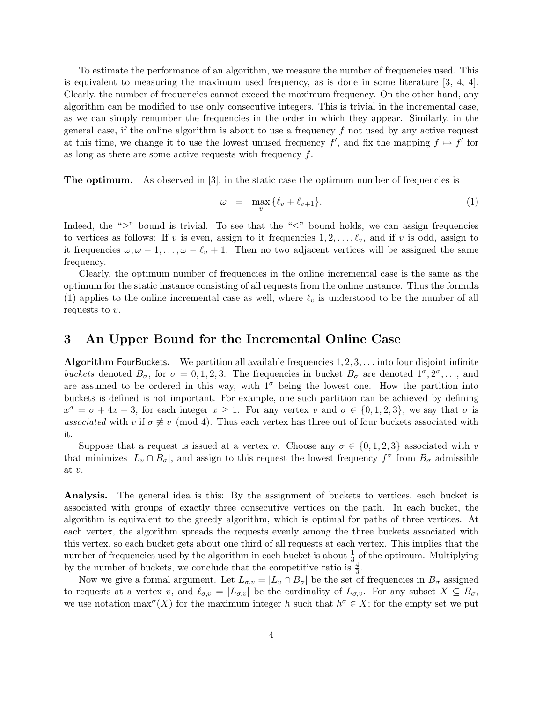To estimate the performance of an algorithm, we measure the number of frequencies used. This is equivalent to measuring the maximum used frequency, as is done in some literature [3, 4, 4]. Clearly, the number of frequencies cannot exceed the maximum frequency. On the other hand, any algorithm can be modified to use only consecutive integers. This is trivial in the incremental case, as we can simply renumber the frequencies in the order in which they appear. Similarly, in the general case, if the online algorithm is about to use a frequency  $f$  not used by any active request at this time, we change it to use the lowest unused frequency  $f'$ , and fix the mapping  $f \mapsto f'$  for as long as there are some active requests with frequency f.

The optimum. As observed in [3], in the static case the optimum number of frequencies is

$$
\omega = \max_{v} \{ \ell_v + \ell_{v+1} \}. \tag{1}
$$

Indeed, the " $\geq$ " bound is trivial. To see that the " $\leq$ " bound holds, we can assign frequencies to vertices as follows: If v is even, assign to it frequencies  $1, 2, \ldots, \ell_v$ , and if v is odd, assign to it frequencies  $\omega, \omega - 1, \ldots, \omega - \ell_v + 1$ . Then no two adjacent vertices will be assigned the same frequency.

Clearly, the optimum number of frequencies in the online incremental case is the same as the optimum for the static instance consisting of all requests from the online instance. Thus the formula (1) applies to the online incremental case as well, where  $\ell_v$  is understood to be the number of all requests to v.

#### 3 An Upper Bound for the Incremental Online Case

**Algorithm FourBuckets.** We partition all available frequencies  $1, 2, 3, \ldots$  into four disjoint infinite buckets denoted  $B_{\sigma}$ , for  $\sigma = 0, 1, 2, 3$ . The frequencies in bucket  $B_{\sigma}$  are denoted  $1^{\sigma}, 2^{\sigma}, \ldots$ , and are assumed to be ordered in this way, with  $1^{\sigma}$  being the lowest one. How the partition into buckets is defined is not important. For example, one such partition can be achieved by defining  $x^{\sigma} = \sigma + 4x - 3$ , for each integer  $x \ge 1$ . For any vertex v and  $\sigma \in \{0, 1, 2, 3\}$ , we say that  $\sigma$  is associated with v if  $\sigma \neq v \pmod{4}$ . Thus each vertex has three out of four buckets associated with it.

Suppose that a request is issued at a vertex v. Choose any  $\sigma \in \{0, 1, 2, 3\}$  associated with v that minimizes  $|L_v \cap B_{\sigma}|$ , and assign to this request the lowest frequency  $f^{\sigma}$  from  $B_{\sigma}$  admissible at v.

Analysis. The general idea is this: By the assignment of buckets to vertices, each bucket is associated with groups of exactly three consecutive vertices on the path. In each bucket, the algorithm is equivalent to the greedy algorithm, which is optimal for paths of three vertices. At each vertex, the algorithm spreads the requests evenly among the three buckets associated with this vertex, so each bucket gets about one third of all requests at each vertex. This implies that the number of frequencies used by the algorithm in each bucket is about  $\frac{1}{3}$  of the optimum. Multiplying by the number of buckets, we conclude that the competitive ratio is  $\frac{4}{3}$ .

Now we give a formal argument. Let  $L_{\sigma,v} = |L_v \cap B_{\sigma}|$  be the set of frequencies in  $B_{\sigma}$  assigned to requests at a vertex v, and  $\ell_{\sigma,v} = |L_{\sigma,v}|$  be the cardinality of  $L_{\sigma,v}$ . For any subset  $X \subseteq B_{\sigma}$ , we use notation  $\max^{\sigma}(X)$  for the maximum integer h such that  $h^{\sigma} \in X$ ; for the empty set we put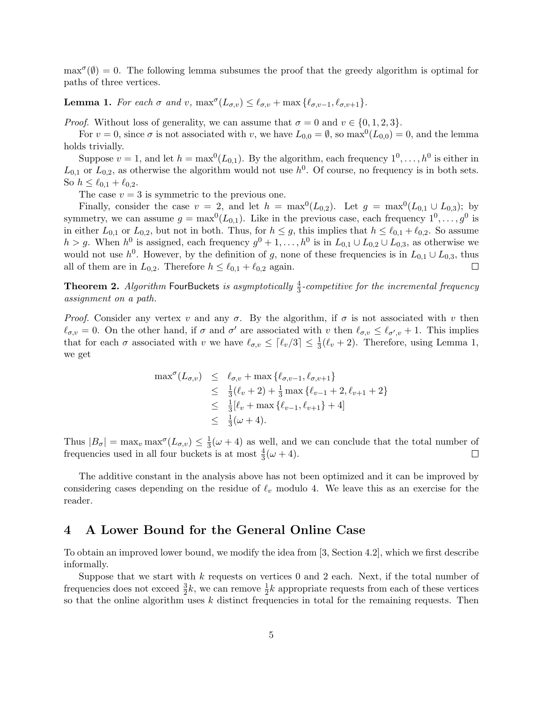$\max^{\sigma}(\emptyset) = 0$ . The following lemma subsumes the proof that the greedy algorithm is optimal for paths of three vertices.

**Lemma 1.** For each  $\sigma$  and  $v$ ,  $\max^{\sigma}(L_{\sigma,v}) \leq \ell_{\sigma,v} + \max{\ell_{\sigma,v-1}, \ell_{\sigma,v+1}}$ .

*Proof.* Without loss of generality, we can assume that  $\sigma = 0$  and  $v \in \{0, 1, 2, 3\}$ .

For  $v = 0$ , since  $\sigma$  is not associated with v, we have  $L_{0,0} = \emptyset$ , so  $\max^{0}(L_{0,0}) = 0$ , and the lemma holds trivially.

Suppose  $v = 1$ , and let  $h = \max^{0}(L_{0,1})$ . By the algorithm, each frequency  $1^{0}, \ldots, h^{0}$  is either in  $L_{0,1}$  or  $L_{0,2}$ , as otherwise the algorithm would not use  $h^0$ . Of course, no frequency is in both sets. So  $h \leq \ell_{0,1} + \ell_{0,2}$ .

The case  $v = 3$  is symmetric to the previous one.

Finally, consider the case  $v = 2$ , and let  $h = \max^{0}(L_{0,2})$ . Let  $g = \max^{0}(L_{0,1} \cup L_{0,3})$ ; by symmetry, we can assume  $g = \max^{0}(L_{0,1})$ . Like in the previous case, each frequency  $1^{0}, \ldots, g^{0}$  is in either  $L_{0,1}$  or  $L_{0,2}$ , but not in both. Thus, for  $h \leq g$ , this implies that  $h \leq \ell_{0,1} + \ell_{0,2}$ . So assume  $h > g$ . When  $h^0$  is assigned, each frequency  $g^0 + 1, \ldots, h^0$  is in  $L_{0,1} \cup L_{0,2} \cup L_{0,3}$ , as otherwise we would not use  $h^0$ . However, by the definition of g, none of these frequencies is in  $L_{0,1} \cup L_{0,3}$ , thus all of them are in  $L_{0,2}$ . Therefore  $h \leq \ell_{0,1} + \ell_{0,2}$  again.  $\Box$ 

**Theorem 2.** Algorithm FourBuckets is asymptotically  $\frac{4}{3}$ -competitive for the incremental frequency assignment on a path.

*Proof.* Consider any vertex v and any  $\sigma$ . By the algorithm, if  $\sigma$  is not associated with v then  $\ell_{\sigma,v} = 0$ . On the other hand, if  $\sigma$  and  $\sigma'$  are associated with v then  $\ell_{\sigma,v} \leq \ell_{\sigma',v} + 1$ . This implies that for each  $\sigma$  associated with v we have  $\ell_{\sigma,v} \leq \lceil \ell_v/3 \rceil \leq \frac{1}{3}(\ell_v + 2)$ . Therefore, using Lemma 1, we get

$$
\max^{\sigma}(L_{\sigma,v}) \leq \ell_{\sigma,v} + \max \{ \ell_{\sigma,v-1}, \ell_{\sigma,v+1} \}\leq \frac{1}{3}(\ell_v + 2) + \frac{1}{3} \max \{ \ell_{v-1} + 2, \ell_{v+1} + 2 \}\leq \frac{1}{3}[\ell_v + \max \{ \ell_{v-1}, \ell_{v+1} \} + 4]\leq \frac{1}{3}(\omega + 4).
$$

Thus  $|B_{\sigma}| = \max_v \max^{\sigma}(L_{\sigma,v}) \leq \frac{1}{3}$  $\frac{1}{3}(\omega+4)$  as well, and we can conclude that the total number of frequencies used in all four buckets is at most  $\frac{4}{3}(\omega + 4)$ .  $\Box$ 

The additive constant in the analysis above has not been optimized and it can be improved by considering cases depending on the residue of  $\ell_v$  modulo 4. We leave this as an exercise for the reader.

#### 4 A Lower Bound for the General Online Case

To obtain an improved lower bound, we modify the idea from [3, Section 4.2], which we first describe informally.

Suppose that we start with  $k$  requests on vertices 0 and 2 each. Next, if the total number of frequencies does not exceed  $\frac{3}{2}k$ , we can remove  $\frac{1}{2}k$  appropriate requests from each of these vertices so that the online algorithm uses  $k$  distinct frequencies in total for the remaining requests. Then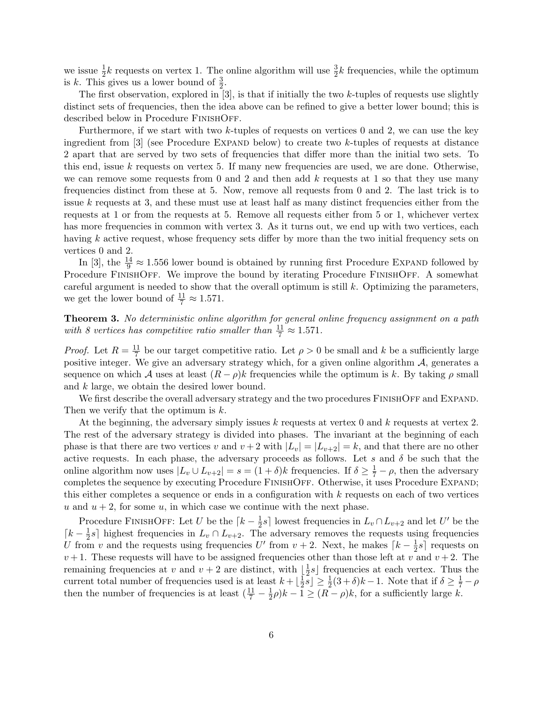we issue  $\frac{1}{2}k$  requests on vertex 1. The online algorithm will use  $\frac{3}{2}k$  frequencies, while the optimum is k. This gives us a lower bound of  $\frac{3}{2}$ .

The first observation, explored in  $[3]$ , is that if initially the two k-tuples of requests use slightly distinct sets of frequencies, then the idea above can be refined to give a better lower bound; this is described below in Procedure FinishOff.

Furthermore, if we start with two  $k$ -tuples of requests on vertices 0 and 2, we can use the key ingredient from  $\lbrack 3\rbrack$  (see Procedure EXPAND below) to create two k-tuples of requests at distance 2 apart that are served by two sets of frequencies that differ more than the initial two sets. To this end, issue  $k$  requests on vertex 5. If many new frequencies are used, we are done. Otherwise, we can remove some requests from 0 and 2 and then add  $k$  requests at 1 so that they use many frequencies distinct from these at 5. Now, remove all requests from 0 and 2. The last trick is to issue  $k$  requests at 3, and these must use at least half as many distinct frequencies either from the requests at 1 or from the requests at 5. Remove all requests either from 5 or 1, whichever vertex has more frequencies in common with vertex 3. As it turns out, we end up with two vertices, each having k active request, whose frequency sets differ by more than the two initial frequency sets on vertices 0 and 2.

In [3], the  $\frac{14}{9} \approx 1.556$  lower bound is obtained by running first Procedure EXPAND followed by Procedure FINISHOFF. We improve the bound by iterating Procedure FINISHOFF. A somewhat careful argument is needed to show that the overall optimum is still  $k$ . Optimizing the parameters, we get the lower bound of  $\frac{11}{7} \approx 1.571$ .

Theorem 3. No deterministic online algorithm for general online frequency assignment on a path with 8 vertices has competitive ratio smaller than  $\frac{11}{7} \approx 1.571$ .

*Proof.* Let  $R = \frac{11}{7}$  $\frac{11}{7}$  be our target competitive ratio. Let  $\rho > 0$  be small and k be a sufficiently large positive integer. We give an adversary strategy which, for a given online algorithm  $A$ , generates a sequence on which A uses at least  $(R - \rho)k$  frequencies while the optimum is k. By taking  $\rho$  small and k large, we obtain the desired lower bound.

We first describe the overall adversary strategy and the two procedures FINISHOFF and EXPAND. Then we verify that the optimum is k.

At the beginning, the adversary simply issues k requests at vertex 0 and k requests at vertex 2. The rest of the adversary strategy is divided into phases. The invariant at the beginning of each phase is that there are two vertices v and  $v + 2$  with  $|L_v| = |L_{v+2}| = k$ , and that there are no other active requests. In each phase, the adversary proceeds as follows. Let s and  $\delta$  be such that the online algorithm now uses  $|L_v \cup L_{v+2}| = s = (1 + \delta)k$  frequencies. If  $\delta \ge \frac{1}{7} - \rho$ , then the adversary completes the sequence by executing Procedure FINISHOFF. Otherwise, it uses Procedure EXPAND; this either completes a sequence or ends in a configuration with  $k$  requests on each of two vertices u and  $u + 2$ , for some u, in which case we continue with the next phase.

Procedure FINISHOFF: Let U be the  $\lceil k - \frac{1}{2} \rceil$  $\frac{1}{2}s$  lowest frequencies in  $L_v \cap L_{v+2}$  and let U' be the  $\lceil k - \frac{1}{2} \rceil$  $\frac{1}{2}s$  highest frequencies in  $L_v \cap L_{v+2}$ . The adversary removes the requests using frequencies U from v and the requests using frequencies U' from  $v + 2$ . Next, he makes  $\lceil k - \frac{1}{2} \rceil$  $\frac{1}{2}s$  requests on  $v+1$ . These requests will have to be assigned frequencies other than those left at v and  $v+2$ . The remaining frequencies at v and  $v + 2$  are distinct, with  $\frac{1}{2}$  $\frac{1}{2}s$  frequencies at each vertex. Thus the current total number of frequencies used is at least  $k + \frac{1}{2}$  $\frac{1}{2}\overline{s} \leq \frac{1}{2}(3+\delta)k-1$ . Note that if  $\delta \geq \frac{1}{7}-\rho$ then the number of frequencies is at least  $(\frac{11}{7} - \frac{1}{2})$  $(\frac{1}{2}\rho)k - 1 \geq (R - \rho)k$ , for a sufficiently large k.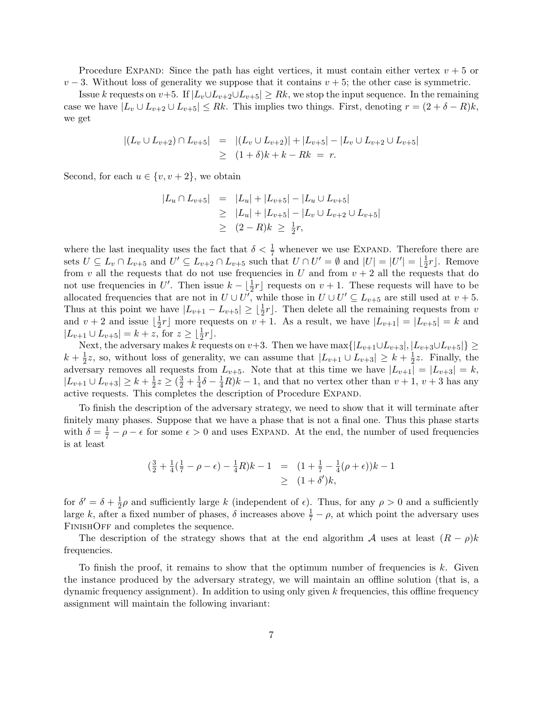Procedure EXPAND: Since the path has eight vertices, it must contain either vertex  $v + 5$  or  $v - 3$ . Without loss of generality we suppose that it contains  $v + 5$ ; the other case is symmetric.

Issue k requests on  $v+5$ . If  $|L_v \cup L_{v+2} \cup L_{v+5}| \geq Rk$ , we stop the input sequence. In the remaining case we have  $|L_v \cup L_{v+2} \cup L_{v+5}| \leq Rk$ . This implies two things. First, denoting  $r = (2 + \delta - R)k$ , we get

$$
\begin{array}{rcl}\n\left| (L_v \cup L_{v+2}) \cap L_{v+5} \right| & = & \left| (L_v \cup L_{v+2}) \right| + |L_{v+5}| - |L_v \cup L_{v+2} \cup L_{v+5}| \\
& \geq & (1+\delta)k + k - Rk = r.\n\end{array}
$$

Second, for each  $u \in \{v, v + 2\}$ , we obtain

$$
|L_u \cap L_{v+5}| = |L_u| + |L_{v+5}| - |L_u \cup L_{v+5}|
$$
  
\n
$$
\geq |L_u| + |L_{v+5}| - |L_v \cup L_{v+2} \cup L_{v+5}|
$$
  
\n
$$
\geq (2 - R)k \geq \frac{1}{2}r,
$$

where the last inequality uses the fact that  $\delta < \frac{1}{7}$  whenever we use EXPAND. Therefore there are sets  $U \subseteq L_v \cap L_{v+5}$  and  $U' \subseteq L_{v+2} \cap L_{v+5}$  such that  $U \cap U' = \emptyset$  and  $|U| = |U'| = \lfloor \frac{1}{2} \rfloor$  $\frac{1}{2}r$ . Remove from v all the requests that do not use frequencies in U and from  $v + 2$  all the requests that do not use frequencies in U'. Then issue  $k - \lfloor \frac{1}{2}r \rfloor$  requests on  $v + 1$ . These requests will have to be allocated frequencies that are not in  $U \cup U'$ , while those in  $U \cup U' \subseteq L_{v+5}$  are still used at  $v+5$ . Thus at this point we have  $|L_{v+1} - L_{v+5}| \geq \lfloor \frac{1}{2}r \rfloor$ . Then delete all the remaining requests from v and  $v + 2$  and issue  $\frac{1}{2}$  $\frac{1}{2}r$  more requests on  $v + 1$ . As a result, we have  $|L_{v+1}| = |L_{v+5}| = k$  and  $|L_{v+1} \cup L_{v+5}| = k + z$ , for  $z \ge \lfloor \frac{1}{2}r \rfloor$ .

Next, the adversary makes k requests on  $v+3$ . Then we have  $\max\{|L_{v+1}\cup L_{v+3}|, |L_{v+3}\cup L_{v+5}|\}\geq$  $k+\frac{1}{2}$  $\frac{1}{2}z$ , so, without loss of generality, we can assume that  $|L_{v+1} \cup L_{v+3}| \geq k + \frac{1}{2}$  $\frac{1}{2}z$ . Finally, the adversary removes all requests from  $L_{v+5}$ . Note that at this time we have  $|L_{v+1}| = |L_{v+3}| = k$ ,  $|L_{v+1} \cup L_{v+3}| \geq k + \frac{1}{2}$  $\frac{1}{2}z \geq (\frac{3}{2} + \frac{1}{4})$  $\frac{1}{4}\delta - \frac{1}{4}R$ ) $k - 1$ , and that no vertex other than  $v + 1$ ,  $v + 3$  has any active requests. This completes the description of Procedure Expand.

To finish the description of the adversary strategy, we need to show that it will terminate after finitely many phases. Suppose that we have a phase that is not a final one. Thus this phase starts with  $\delta = \frac{1}{7} - \rho - \epsilon$  for some  $\epsilon > 0$  and uses EXPAND. At the end, the number of used frequencies is at least

$$
\left(\frac{3}{2} + \frac{1}{4}(\frac{1}{7} - \rho - \epsilon) - \frac{1}{4}R\right)k - 1 = \left(1 + \frac{1}{7} - \frac{1}{4}(\rho + \epsilon)\right)k - 1
$$
  
\n
$$
\geq \left(1 + \delta'\right)k,
$$

for  $\delta' = \delta + \frac{1}{2}$  $\frac{1}{2}\rho$  and sufficiently large k (independent of  $\epsilon$ ). Thus, for any  $\rho > 0$  and a sufficiently large k, after a fixed number of phases,  $\delta$  increases above  $\frac{1}{7} - \rho$ , at which point the adversary uses FINISHOFF and completes the sequence.

The description of the strategy shows that at the end algorithm A uses at least  $(R - \rho)k$ frequencies.

To finish the proof, it remains to show that the optimum number of frequencies is k. Given the instance produced by the adversary strategy, we will maintain an offline solution (that is, a dynamic frequency assignment). In addition to using only given  $k$  frequencies, this offline frequency assignment will maintain the following invariant: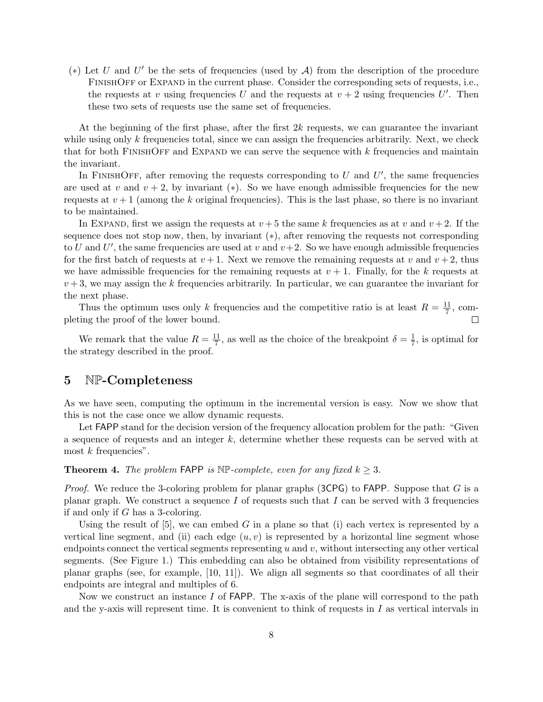(\*) Let U and U' be the sets of frequencies (used by  $A$ ) from the description of the procedure FINISHOFF or EXPAND in the current phase. Consider the corresponding sets of requests, i.e., the requests at v using frequencies U and the requests at  $v + 2$  using frequencies U'. Then these two sets of requests use the same set of frequencies.

At the beginning of the first phase, after the first  $2k$  requests, we can guarantee the invariant while using only k frequencies total, since we can assign the frequencies arbitrarily. Next, we check that for both FINISHOFF and EXPAND we can serve the sequence with  $k$  frequencies and maintain the invariant.

In FINISHOFF, after removing the requests corresponding to  $U$  and  $U'$ , the same frequencies are used at v and  $v + 2$ , by invariant (\*). So we have enough admissible frequencies for the new requests at  $v + 1$  (among the k original frequencies). This is the last phase, so there is no invariant to be maintained.

In EXPAND, first we assign the requests at  $v + 5$  the same k frequencies as at v and  $v + 2$ . If the sequence does not stop now, then, by invariant (\*), after removing the requests not corresponding to U and U', the same frequencies are used at v and  $v+2$ . So we have enough admissible frequencies for the first batch of requests at  $v + 1$ . Next we remove the remaining requests at v and  $v + 2$ , thus we have admissible frequencies for the remaining requests at  $v + 1$ . Finally, for the k requests at  $v + 3$ , we may assign the k frequencies arbitrarily. In particular, we can guarantee the invariant for the next phase.

Thus the optimum uses only k frequencies and the competitive ratio is at least  $R = \frac{11}{7}$  $\frac{11}{7}$ , completing the proof of the lower bound.  $\Box$ 

We remark that the value  $R = \frac{11}{7}$  $\frac{11}{7}$ , as well as the choice of the breakpoint  $\delta = \frac{1}{7}$  $\frac{1}{7}$ , is optimal for the strategy described in the proof.

#### 5 NP-Completeness

As we have seen, computing the optimum in the incremental version is easy. Now we show that this is not the case once we allow dynamic requests.

Let FAPP stand for the decision version of the frequency allocation problem for the path: "Given a sequence of requests and an integer  $k$ , determine whether these requests can be served with at most  $k$  frequencies".

**Theorem 4.** The problem FAPP is  $N\mathbb{P}$ -complete, even for any fixed  $k > 3$ .

*Proof.* We reduce the 3-coloring problem for planar graphs (3CPG) to FAPP. Suppose that  $G$  is a planar graph. We construct a sequence I of requests such that I can be served with 3 frequencies if and only if G has a 3-coloring.

Using the result of  $[5]$ , we can embed G in a plane so that (i) each vertex is represented by a vertical line segment, and (ii) each edge  $(u, v)$  is represented by a horizontal line segment whose endpoints connect the vertical segments representing  $u$  and  $v$ , without intersecting any other vertical segments. (See Figure 1.) This embedding can also be obtained from visibility representations of planar graphs (see, for example, [10, 11]). We align all segments so that coordinates of all their endpoints are integral and multiples of 6.

Now we construct an instance I of FAPP. The x-axis of the plane will correspond to the path and the y-axis will represent time. It is convenient to think of requests in  $I$  as vertical intervals in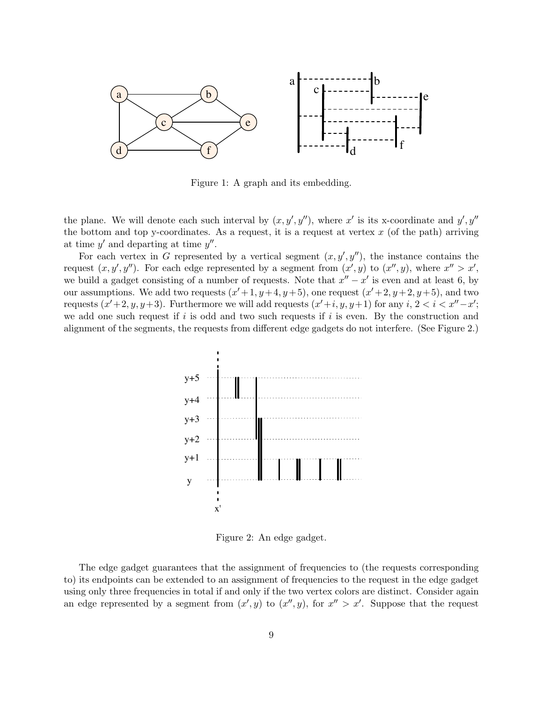

Figure 1: A graph and its embedding.

the plane. We will denote each such interval by  $(x, y', y'')$ , where x' is its x-coordinate and  $y', y''$ the bottom and top y-coordinates. As a request, it is a request at vertex  $x$  (of the path) arriving at time  $y'$  and departing at time  $y''$ .

For each vertex in G represented by a vertical segment  $(x, y', y'')$ , the instance contains the request  $(x, y', y'')$ . For each edge represented by a segment from  $(x', y)$  to  $(x'', y)$ , where  $x'' > x'$ , we build a gadget consisting of a number of requests. Note that  $x'' - x'$  is even and at least 6, by our assumptions. We add two requests  $(x'+1, y+4, y+5)$ , one request  $(x'+2, y+2, y+5)$ , and two requests  $(x'+2, y, y+3)$ . Furthermore we will add requests  $(x'+i, y, y+1)$  for any  $i, 2 < i < x''-x'$ ; we add one such request if  $i$  is odd and two such requests if  $i$  is even. By the construction and alignment of the segments, the requests from different edge gadgets do not interfere. (See Figure 2.)



Figure 2: An edge gadget.

The edge gadget guarantees that the assignment of frequencies to (the requests corresponding to) its endpoints can be extended to an assignment of frequencies to the request in the edge gadget using only three frequencies in total if and only if the two vertex colors are distinct. Consider again an edge represented by a segment from  $(x', y)$  to  $(x'', y)$ , for  $x'' > x'$ . Suppose that the request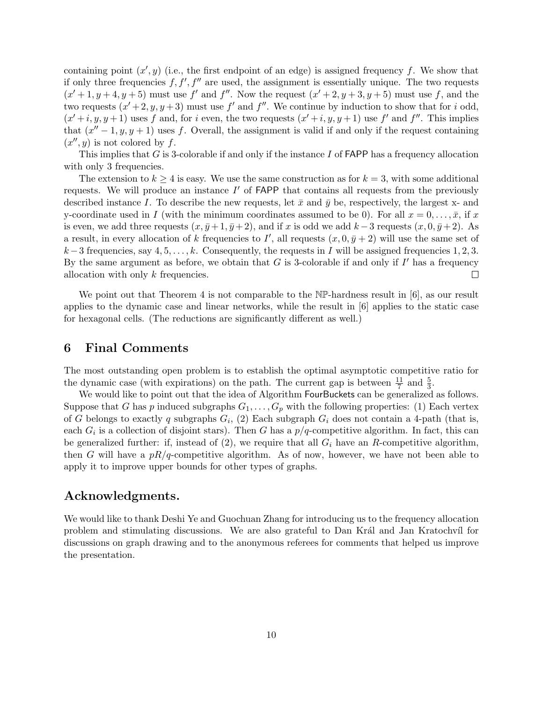containing point  $(x', y)$  (i.e., the first endpoint of an edge) is assigned frequency f. We show that if only three frequencies  $f, f', f''$  are used, the assignment is essentially unique. The two requests  $(x'+1, y+4, y+5)$  must use f' and f''. Now the request  $(x'+2, y+3, y+5)$  must use f, and the two requests  $(x'+2, y, y+3)$  must use f' and f''. We continue by induction to show that for i odd,  $(x'+i, y, y+1)$  uses f and, for i even, the two requests  $(x'+i, y, y+1)$  use f' and f''. This implies that  $(x'' - 1, y, y + 1)$  uses f. Overall, the assignment is valid if and only if the request containing  $(x'', y)$  is not colored by f.

This implies that G is 3-colorable if and only if the instance I of  $FAPP$  has a frequency allocation with only 3 frequencies.

The extension to  $k \geq 4$  is easy. We use the same construction as for  $k = 3$ , with some additional requests. We will produce an instance  $I'$  of  $FAPP$  that contains all requests from the previously described instance I. To describe the new requests, let  $\bar{x}$  and  $\bar{y}$  be, respectively, the largest x- and y-coordinate used in I (with the minimum coordinates assumed to be 0). For all  $x = 0, \ldots, \bar{x}$ , if x is even, we add three requests  $(x, \bar{y}+1, \bar{y}+2)$ , and if x is odd we add  $k-3$  requests  $(x, 0, \bar{y}+2)$ . As a result, in every allocation of k frequencies to I', all requests  $(x, 0, \bar{y} + 2)$  will use the same set of  $k-3$  frequencies, say  $4, 5, \ldots, k$ . Consequently, the requests in I will be assigned frequencies 1, 2, 3. By the same argument as before, we obtain that  $G$  is 3-colorable if and only if  $I'$  has a frequency allocation with only k frequencies.  $\Box$ 

We point out that Theorem 4 is not comparable to the NP-hardness result in [6], as our result applies to the dynamic case and linear networks, while the result in [6] applies to the static case for hexagonal cells. (The reductions are significantly different as well.)

## 6 Final Comments

The most outstanding open problem is to establish the optimal asymptotic competitive ratio for the dynamic case (with expirations) on the path. The current gap is between  $\frac{11}{7}$  and  $\frac{5}{3}$ .

We would like to point out that the idea of Algorithm FourBuckets can be generalized as follows. Suppose that G has p induced subgraphs  $G_1, \ldots, G_p$  with the following properties: (1) Each vertex of G belongs to exactly q subgraphs  $G_i$ , (2) Each subgraph  $G_i$  does not contain a 4-path (that is, each  $G_i$  is a collection of disjoint stars). Then G has a  $p/q$ -competitive algorithm. In fact, this can be generalized further: if, instead of  $(2)$ , we require that all  $G_i$  have an R-competitive algorithm, then G will have a  $pR/q$ -competitive algorithm. As of now, however, we have not been able to apply it to improve upper bounds for other types of graphs.

### Acknowledgments.

We would like to thank Deshi Ye and Guochuan Zhang for introducing us to the frequency allocation problem and stimulating discussions. We are also grateful to Dan Král and Jan Kratochvíl for discussions on graph drawing and to the anonymous referees for comments that helped us improve the presentation.